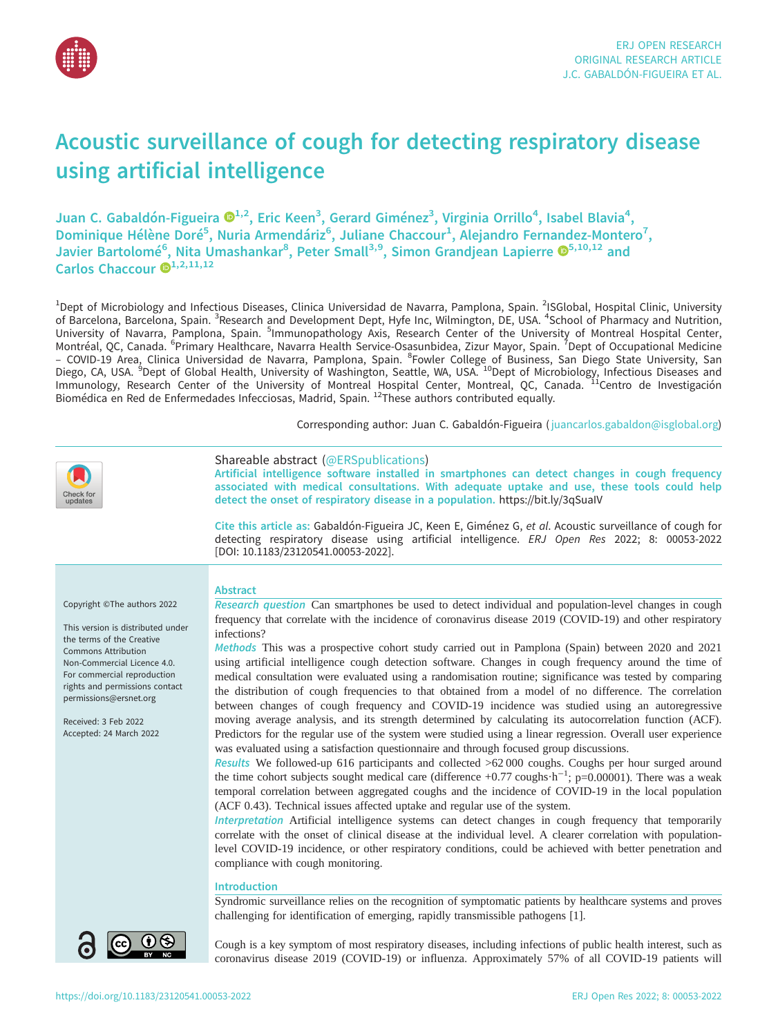

# Acoustic surveillance of cough for detecting respiratory disease using artificial intelligence

Juan C. Gabaldón-Figueira ®<sup>[1](https://orcid.org/0000-0002-2525-0263),2</sup>, Eric Keen<sup>3</sup>, Gerard Giménez<sup>3</sup>, Virginia Orrillo<sup>4</sup>, Isabel Blavia<sup>4</sup>, Dominique Hélène Doré<sup>5</sup>, Nuria Armendáriz<sup>6</sup>, Juliane Chaccour<sup>1</sup>, Alejandro Fernandez-Montero<sup>7</sup>, Javier Bartolomé<sup>6</sup>, Nita Umashankar<sup>8</sup>, Peter Small<sup>3,9</sup>, Simon Grandjean Lapierre ®<sup>5,10,12</sup> and Carlos Chaccour  $\mathbf{D}^{1,2,11,12}$  $\mathbf{D}^{1,2,11,12}$  $\mathbf{D}^{1,2,11,12}$ 

<sup>1</sup>Dept of Microbiology and Infectious Diseases, Clinica Universidad de Navarra, Pamplona, Spain. <sup>2</sup>ISGlobal, Hospital Clinic, University of Barcelona, Barcelona, Spain. <sup>3</sup>Research and Development Dept, Hyfe Inc, Wilmington, DE, USA. <sup>4</sup>School of Pharmacy and Nutrition, University of Navarra, Pamplona, Spain. <sup>5</sup>Immunopathology Axis, Research Center of the University of Montreal Hospital Center, Montréal, QC, Canada. <sup>6</sup>Primary Healthcare, Navarra Health Service-Osasunbidea, Zizur Mayor, Spain. <sup>7</sup>Dept of Occupational Medicine<br>– COVID-19 Area, Clinica Universidad de Navarra, Pamplona, Spain. <sup>8</sup>Fowler College of B Immunology, Research Center of the University of Montreal Hospital Center, Montreal, QC, Canada. IICentro de Investigación Biomédica en Red de Enfermedades Infecciosas, Madrid, Spain. 12These authors contributed equally.

Corresponding author: Juan C. Gabaldón-Figueira ( [juancarlos.gabaldon@isglobal.org](mailto:juancarlos.gabaldon@isglobal.org))

| Check for<br>updates                                                                                                                                                                                                                                                                                     | Shareable abstract (@ERSpublications)<br>Artificial intelligence software installed in smartphones can detect changes in cough frequency<br>associated with medical consultations. With adequate uptake and use, these tools could help<br>detect the onset of respiratory disease in a population. https://bit.ly/3qSualV<br>Cite this article as: Gabaldón-Figueira JC, Keen E, Giménez G, et al. Acoustic surveillance of cough for<br>detecting respiratory disease using artificial intelligence. ERJ Open Res 2022; 8: 00053-2022                                                                                                                                                                                                                                                                                                                                                                                                                                                                                                                                                                                                                                                                                                                                                                                                                                                                                                                                                                                                                                                                                                                                                                                                                                                                                                                                                                                                                                                                                                                                                                                            |
|----------------------------------------------------------------------------------------------------------------------------------------------------------------------------------------------------------------------------------------------------------------------------------------------------------|------------------------------------------------------------------------------------------------------------------------------------------------------------------------------------------------------------------------------------------------------------------------------------------------------------------------------------------------------------------------------------------------------------------------------------------------------------------------------------------------------------------------------------------------------------------------------------------------------------------------------------------------------------------------------------------------------------------------------------------------------------------------------------------------------------------------------------------------------------------------------------------------------------------------------------------------------------------------------------------------------------------------------------------------------------------------------------------------------------------------------------------------------------------------------------------------------------------------------------------------------------------------------------------------------------------------------------------------------------------------------------------------------------------------------------------------------------------------------------------------------------------------------------------------------------------------------------------------------------------------------------------------------------------------------------------------------------------------------------------------------------------------------------------------------------------------------------------------------------------------------------------------------------------------------------------------------------------------------------------------------------------------------------------------------------------------------------------------------------------------------------|
|                                                                                                                                                                                                                                                                                                          | [DOI: 10.1183/23120541.00053-2022].                                                                                                                                                                                                                                                                                                                                                                                                                                                                                                                                                                                                                                                                                                                                                                                                                                                                                                                                                                                                                                                                                                                                                                                                                                                                                                                                                                                                                                                                                                                                                                                                                                                                                                                                                                                                                                                                                                                                                                                                                                                                                                |
| Copyright ©The authors 2022<br>This version is distributed under<br>the terms of the Creative<br><b>Commons Attribution</b><br>Non-Commercial Licence 4.0.<br>For commercial reproduction<br>rights and permissions contact<br>permissions@ersnet.org<br>Received: 3 Feb 2022<br>Accepted: 24 March 2022 | <b>Abstract</b><br>Research question Can smartphones be used to detect individual and population-level changes in cough<br>frequency that correlate with the incidence of coronavirus disease 2019 (COVID-19) and other respiratory<br>infections?<br>Methods This was a prospective cohort study carried out in Pamplona (Spain) between 2020 and 2021<br>using artificial intelligence cough detection software. Changes in cough frequency around the time of<br>medical consultation were evaluated using a randomisation routine; significance was tested by comparing<br>the distribution of cough frequencies to that obtained from a model of no difference. The correlation<br>between changes of cough frequency and COVID-19 incidence was studied using an autoregressive<br>moving average analysis, and its strength determined by calculating its autocorrelation function (ACF).<br>Predictors for the regular use of the system were studied using a linear regression. Overall user experience<br>was evaluated using a satisfaction questionnaire and through focused group discussions.<br>Results We followed-up 616 participants and collected >62 000 coughs. Coughs per hour surged around<br>the time cohort subjects sought medical care (difference +0.77 coughs $\cdot h^{-1}$ ; p=0.00001). There was a weak<br>temporal correlation between aggregated coughs and the incidence of COVID-19 in the local population<br>(ACF 0.43). Technical issues affected uptake and regular use of the system.<br>Interpretation Artificial intelligence systems can detect changes in cough frequency that temporarily<br>correlate with the onset of clinical disease at the individual level. A clearer correlation with population-<br>level COVID-19 incidence, or other respiratory conditions, could be achieved with better penetration and<br>compliance with cough monitoring.<br><b>Introduction</b><br>Syndromic surveillance relies on the recognition of symptomatic patients by healthcare systems and proves<br>challenging for identification of emerging, rapidly transmissible pathogens [1]. |
|                                                                                                                                                                                                                                                                                                          | Cough is a key symptom of most respiratory diseases, including infections of public health interest, such as<br>coronavirus disease 2019 (COVID-19) or influenza. Approximately 57% of all COVID-19 patients will                                                                                                                                                                                                                                                                                                                                                                                                                                                                                                                                                                                                                                                                                                                                                                                                                                                                                                                                                                                                                                                                                                                                                                                                                                                                                                                                                                                                                                                                                                                                                                                                                                                                                                                                                                                                                                                                                                                  |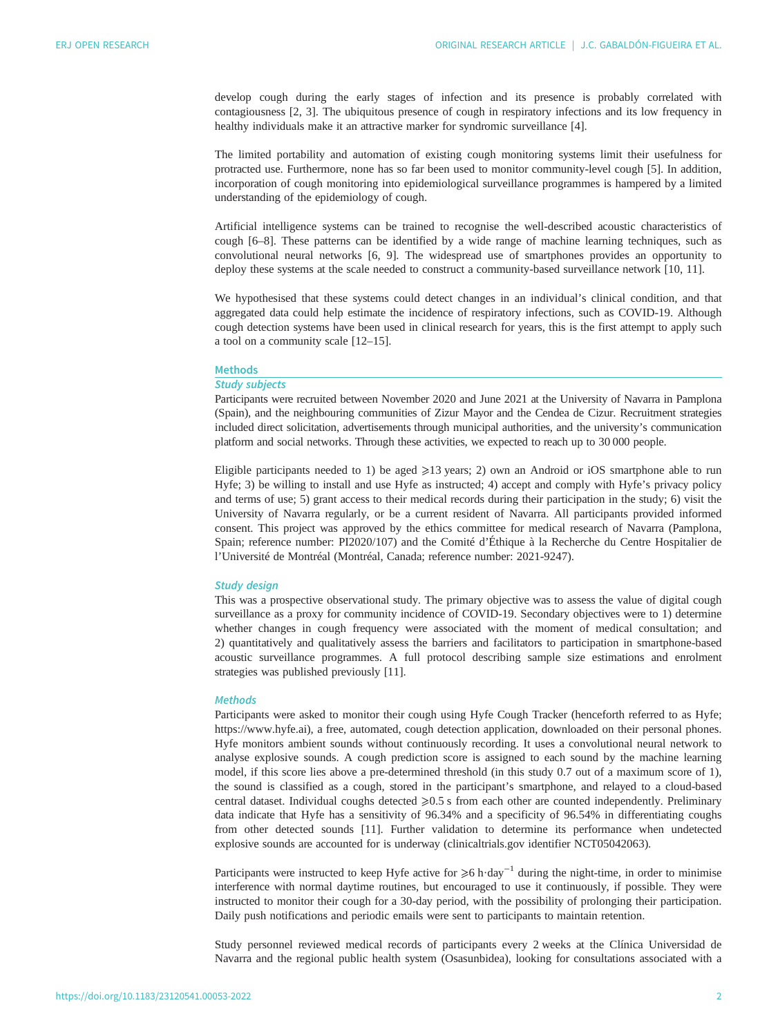develop cough during the early stages of infection and its presence is probably correlated with contagiousness [[2](#page-8-0), [3\]](#page-8-0). The ubiquitous presence of cough in respiratory infections and its low frequency in healthy individuals make it an attractive marker for syndromic surveillance [\[4](#page-8-0)].

The limited portability and automation of existing cough monitoring systems limit their usefulness for protracted use. Furthermore, none has so far been used to monitor community-level cough [\[5\]](#page-8-0). In addition, incorporation of cough monitoring into epidemiological surveillance programmes is hampered by a limited understanding of the epidemiology of cough.

Artificial intelligence systems can be trained to recognise the well-described acoustic characteristics of cough [\[6](#page-8-0)–[8\]](#page-8-0). These patterns can be identified by a wide range of machine learning techniques, such as convolutional neural networks [[6](#page-8-0), [9\]](#page-8-0). The widespread use of smartphones provides an opportunity to deploy these systems at the scale needed to construct a community-based surveillance network [[10, 11\]](#page-8-0).

We hypothesised that these systems could detect changes in an individual's clinical condition, and that aggregated data could help estimate the incidence of respiratory infections, such as COVID-19. Although cough detection systems have been used in clinical research for years, this is the first attempt to apply such a tool on a community scale [\[12](#page-8-0)–[15\]](#page-8-0).

# Methods

## Study subjects

Participants were recruited between November 2020 and June 2021 at the University of Navarra in Pamplona (Spain), and the neighbouring communities of Zizur Mayor and the Cendea de Cizur. Recruitment strategies included direct solicitation, advertisements through municipal authorities, and the university's communication platform and social networks. Through these activities, we expected to reach up to 30 000 people.

Eligible participants needed to 1) be aged  $\geq 13$  years; 2) own an Android or iOS smartphone able to run Hyfe; 3) be willing to install and use Hyfe as instructed; 4) accept and comply with Hyfe's privacy policy and terms of use; 5) grant access to their medical records during their participation in the study; 6) visit the University of Navarra regularly, or be a current resident of Navarra. All participants provided informed consent. This project was approved by the ethics committee for medical research of Navarra (Pamplona, Spain; reference number: PI2020/107) and the Comité d'Éthique à la Recherche du Centre Hospitalier de l'Université de Montréal (Montréal, Canada; reference number: 2021-9247).

## Study design

This was a prospective observational study. The primary objective was to assess the value of digital cough surveillance as a proxy for community incidence of COVID-19. Secondary objectives were to 1) determine whether changes in cough frequency were associated with the moment of medical consultation; and 2) quantitatively and qualitatively assess the barriers and facilitators to participation in smartphone-based acoustic surveillance programmes. A full protocol describing sample size estimations and enrolment strategies was published previously [[11\]](#page-8-0).

#### **Methods**

Participants were asked to monitor their cough using Hyfe Cough Tracker (henceforth referred to as Hyfe; <https://www.hyfe.ai>), a free, automated, cough detection application, downloaded on their personal phones. Hyfe monitors ambient sounds without continuously recording. It uses a convolutional neural network to analyse explosive sounds. A cough prediction score is assigned to each sound by the machine learning model, if this score lies above a pre-determined threshold (in this study 0.7 out of a maximum score of 1), the sound is classified as a cough, stored in the participant's smartphone, and relayed to a cloud-based central dataset. Individual coughs detected  $\geq 0.5$  s from each other are counted independently. Preliminary data indicate that Hyfe has a sensitivity of 96.34% and a specificity of 96.54% in differentiating coughs from other detected sounds [\[11](#page-8-0)]. Further validation to determine its performance when undetected explosive sounds are accounted for is underway ([clinicaltrials.gov](http://www.clinicaltrials.gov) identifier NCT05042063).

Participants were instructed to keep Hyfe active for  $\geq 6$  h·day<sup>-1</sup> during the night-time, in order to minimise interference with normal daytime routines, but encouraged to use it continuously, if possible. They were instructed to monitor their cough for a 30-day period, with the possibility of prolonging their participation. Daily push notifications and periodic emails were sent to participants to maintain retention.

Study personnel reviewed medical records of participants every 2 weeks at the Clínica Universidad de Navarra and the regional public health system (Osasunbidea), looking for consultations associated with a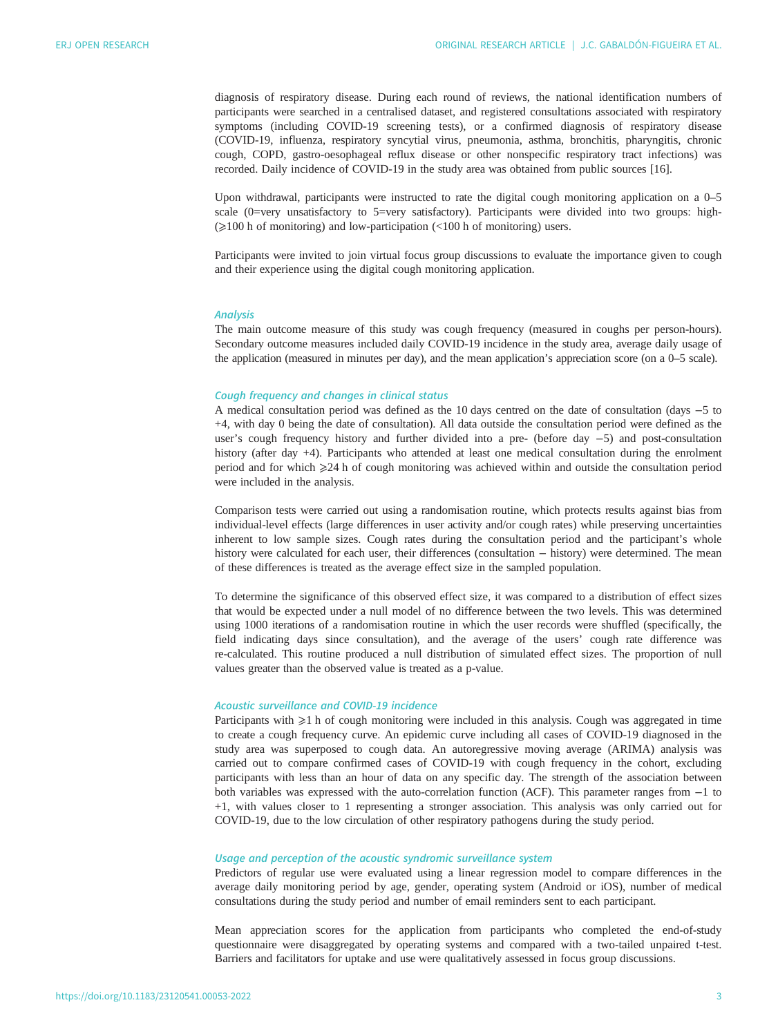diagnosis of respiratory disease. During each round of reviews, the national identification numbers of participants were searched in a centralised dataset, and registered consultations associated with respiratory symptoms (including COVID-19 screening tests), or a confirmed diagnosis of respiratory disease (COVID-19, influenza, respiratory syncytial virus, pneumonia, asthma, bronchitis, pharyngitis, chronic cough, COPD, gastro-oesophageal reflux disease or other nonspecific respiratory tract infections) was recorded. Daily incidence of COVID-19 in the study area was obtained from public sources [[16\]](#page-8-0).

Upon withdrawal, participants were instructed to rate the digital cough monitoring application on a 0–5 scale (0=very unsatisfactory to 5=very satisfactory). Participants were divided into two groups: high- $\geq 100$  h of monitoring) and low-participation (<100 h of monitoring) users.

Participants were invited to join virtual focus group discussions to evaluate the importance given to cough and their experience using the digital cough monitoring application.

# Analysis

The main outcome measure of this study was cough frequency (measured in coughs per person-hours). Secondary outcome measures included daily COVID-19 incidence in the study area, average daily usage of the application (measured in minutes per day), and the mean application's appreciation score (on a 0–5 scale).

## Cough frequency and changes in clinical status

A medical consultation period was defined as the 10 days centred on the date of consultation (days −5 to +4, with day 0 being the date of consultation). All data outside the consultation period were defined as the user's cough frequency history and further divided into a pre- (before day −5) and post-consultation history (after day +4). Participants who attended at least one medical consultation during the enrolment period and for which  $\geq 24$  h of cough monitoring was achieved within and outside the consultation period were included in the analysis.

Comparison tests were carried out using a randomisation routine, which protects results against bias from individual-level effects (large differences in user activity and/or cough rates) while preserving uncertainties inherent to low sample sizes. Cough rates during the consultation period and the participant's whole history were calculated for each user, their differences (consultation − history) were determined. The mean of these differences is treated as the average effect size in the sampled population.

To determine the significance of this observed effect size, it was compared to a distribution of effect sizes that would be expected under a null model of no difference between the two levels. This was determined using 1000 iterations of a randomisation routine in which the user records were shuffled (specifically, the field indicating days since consultation), and the average of the users' cough rate difference was re-calculated. This routine produced a null distribution of simulated effect sizes. The proportion of null values greater than the observed value is treated as a p-value.

## Acoustic surveillance and COVID-19 incidence

Participants with  $\geq 1$  h of cough monitoring were included in this analysis. Cough was aggregated in time to create a cough frequency curve. An epidemic curve including all cases of COVID-19 diagnosed in the study area was superposed to cough data. An autoregressive moving average (ARIMA) analysis was carried out to compare confirmed cases of COVID-19 with cough frequency in the cohort, excluding participants with less than an hour of data on any specific day. The strength of the association between both variables was expressed with the auto-correlation function (ACF). This parameter ranges from −1 to +1, with values closer to 1 representing a stronger association. This analysis was only carried out for COVID-19, due to the low circulation of other respiratory pathogens during the study period.

# Usage and perception of the acoustic syndromic surveillance system

Predictors of regular use were evaluated using a linear regression model to compare differences in the average daily monitoring period by age, gender, operating system (Android or iOS), number of medical consultations during the study period and number of email reminders sent to each participant.

Mean appreciation scores for the application from participants who completed the end-of-study questionnaire were disaggregated by operating systems and compared with a two-tailed unpaired t-test. Barriers and facilitators for uptake and use were qualitatively assessed in focus group discussions.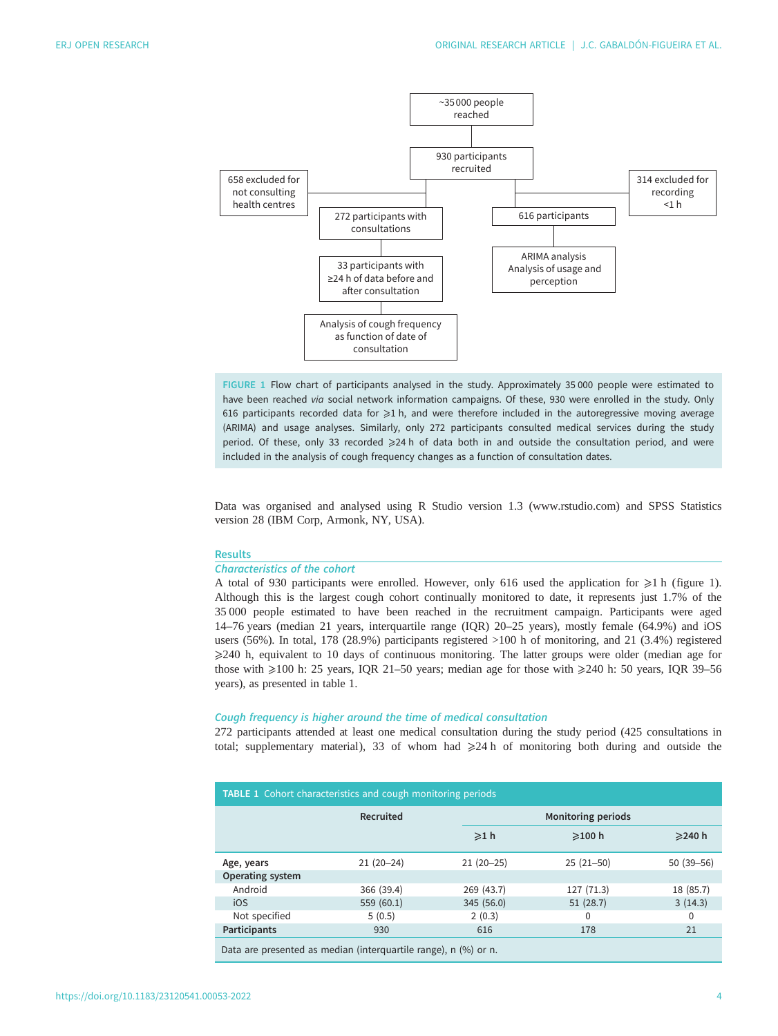<span id="page-3-0"></span>

FIGURE 1 Flow chart of participants analysed in the study. Approximately 35 000 people were estimated to have been reached via social network information campaigns. Of these, 930 were enrolled in the study. Only 616 participants recorded data for  $\geq 1$  h, and were therefore included in the autoregressive moving average (ARIMA) and usage analyses. Similarly, only 272 participants consulted medical services during the study period. Of these, only 33 recorded ≥24 h of data both in and outside the consultation period, and were included in the analysis of cough frequency changes as a function of consultation dates.

Data was organised and analysed using R Studio version 1.3 [\(www.rstudio.com\)](http://www.rstudio.com) and SPSS Statistics version 28 (IBM Corp, Armonk, NY, USA).

#### **Results**

#### Characteristics of the cohort

A total of 930 participants were enrolled. However, only 616 used the application for  $\geq 1$  h (figure 1). Although this is the largest cough cohort continually monitored to date, it represents just 1.7% of the 35 000 people estimated to have been reached in the recruitment campaign. Participants were aged 14–76 years (median 21 years, interquartile range (IQR) 20–25 years), mostly female (64.9%) and iOS users (56%). In total, 178 (28.9%) participants registered >100 h of monitoring, and 21 (3.4%) registered ⩾240 h, equivalent to 10 days of continuous monitoring. The latter groups were older (median age for those with  $\geq$ 100 h: 25 years, IQR 21–50 years; median age for those with  $\geq$ 240 h: 50 years, IQR 39–56 years), as presented in table 1.

#### Cough frequency is higher around the time of medical consultation

272 participants attended at least one medical consultation during the study period (425 consultations in total; [supplementary material](http://openres.ersjournals.com/lookup/doi/10.1183/23120541.00053-2022.figures-only#fig-data-supplementary-materials)), 33 of whom had  $\geq 24$  h of monitoring both during and outside the

| <b>TABLE 1</b> Cohort characteristics and cough monitoring periods |             |                           |              |               |  |  |  |
|--------------------------------------------------------------------|-------------|---------------------------|--------------|---------------|--|--|--|
|                                                                    | Recruited   | <b>Monitoring periods</b> |              |               |  |  |  |
|                                                                    |             | $\geq 1$ h                | $\geq$ 100 h | ≥240 h        |  |  |  |
| Age, years                                                         | $21(20-24)$ | $21(20-25)$               | $25(21-50)$  | $50(39 - 56)$ |  |  |  |
| Operating system                                                   |             |                           |              |               |  |  |  |
| Android                                                            | 366 (39.4)  | 269 (43.7)                | 127 (71.3)   | 18 (85.7)     |  |  |  |
| iOS                                                                | 559 (60.1)  | 345 (56.0)                | 51(28.7)     | 3(14.3)       |  |  |  |
| Not specified                                                      | 5(0.5)      | 2(0.3)                    | 0            | $\mathbf{0}$  |  |  |  |
| Participants                                                       | 930         | 616                       | 178          | 21            |  |  |  |
| Data are presented as median (interquartile range), n (%) or n.    |             |                           |              |               |  |  |  |

https://doi.org/10.1183/23120541.00053-2022 4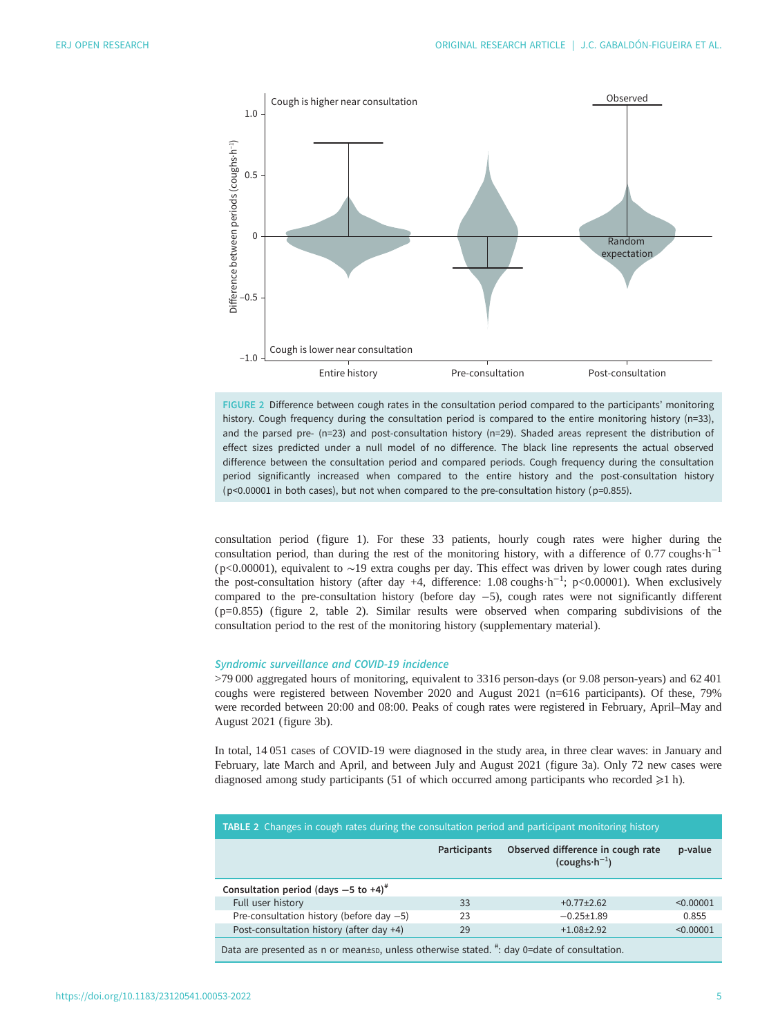

FIGURE 2 Difference between cough rates in the consultation period compared to the participants' monitoring history. Cough frequency during the consultation period is compared to the entire monitoring history (n=33), and the parsed pre- (n=23) and post-consultation history (n=29). Shaded areas represent the distribution of effect sizes predicted under a null model of no difference. The black line represents the actual observed difference between the consultation period and compared periods. Cough frequency during the consultation period significantly increased when compared to the entire history and the post-consultation history (p<0.00001 in both cases), but not when compared to the pre-consultation history (p=0.855).

consultation period [\(figure 1\)](#page-3-0). For these 33 patients, hourly cough rates were higher during the consultation period, than during the rest of the monitoring history, with a difference of 0.77 coughs  $h^{-1}$ ( p<0.00001), equivalent to ∼19 extra coughs per day. This effect was driven by lower cough rates during the post-consultation history (after day +4, difference: 1.08 coughs·h−<sup>1</sup> ; p<0.00001). When exclusively compared to the pre-consultation history (before day −5), cough rates were not significantly different ( p=0.855) (figure 2, table 2). Similar results were observed when comparing subdivisions of the consultation period to the rest of the monitoring history [\(supplementary material](http://openres.ersjournals.com/lookup/doi/10.1183/23120541.00053-2022.figures-only#fig-data-supplementary-materials)).

## Syndromic surveillance and COVID-19 incidence

>79 000 aggregated hours of monitoring, equivalent to 3316 person-days (or 9.08 person-years) and 62 401 coughs were registered between November 2020 and August 2021 (n=616 participants). Of these, 79% were recorded between 20:00 and 08:00. Peaks of cough rates were registered in February, April–May and August 2021 [\(figure 3b\)](#page-5-0).

In total, 14 051 cases of COVID-19 were diagnosed in the study area, in three clear waves: in January and February, late March and April, and between July and August 2021 ([figure 3a](#page-5-0)). Only 72 new cases were diagnosed among study participants (51 of which occurred among participants who recorded  $\geq 1$  h).

| <b>TABLE 2</b> Changes in cough rates during the consultation period and participant monitoring history |              |                                                              |           |  |  |  |
|---------------------------------------------------------------------------------------------------------|--------------|--------------------------------------------------------------|-----------|--|--|--|
|                                                                                                         | Participants | Observed difference in cough rate<br>$(coughs \cdot h^{-1})$ | p-value   |  |  |  |
| Consultation period (days $-5$ to $+4$ ) <sup>#</sup>                                                   |              |                                                              |           |  |  |  |
| Full user history                                                                                       | 33           | $+0.77 + 2.62$                                               | < 0.00001 |  |  |  |
| Pre-consultation history (before day $-5$ )                                                             | 23           | $-0.25 \pm 1.89$                                             | 0.855     |  |  |  |
| Post-consultation history (after day +4)                                                                | 29           | $+1.08 + 2.92$                                               | < 0.00001 |  |  |  |
| Data are presented as n or mean±sp, unless otherwise stated. #: day 0=date of consultation.             |              |                                                              |           |  |  |  |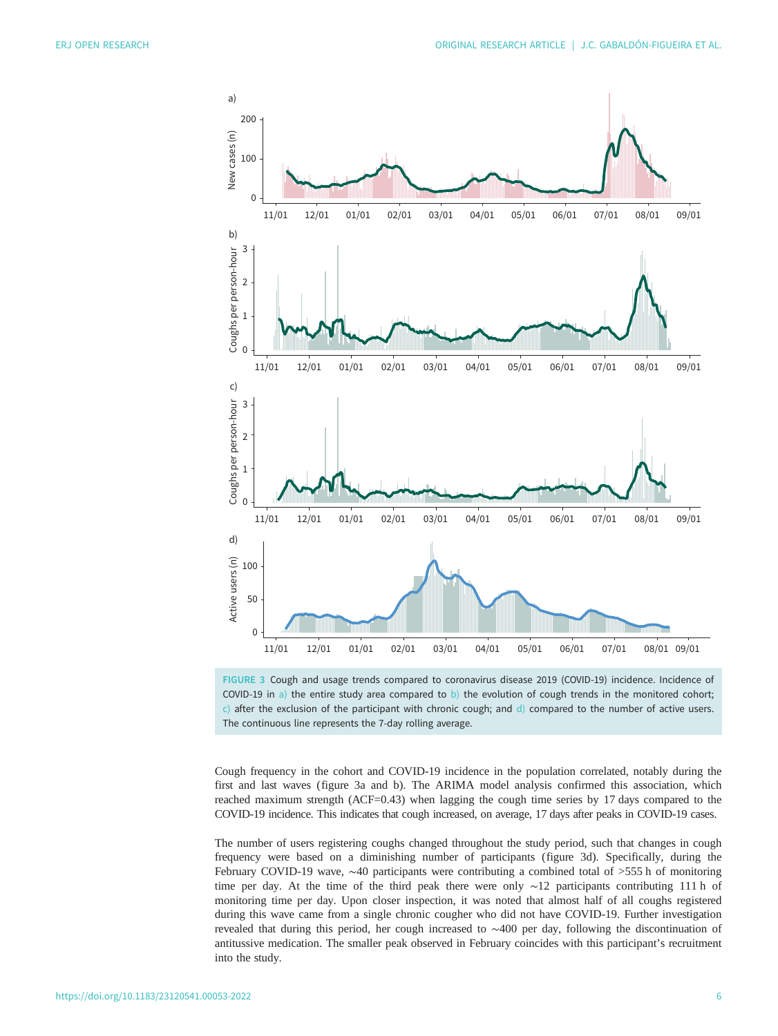<span id="page-5-0"></span>



Cough frequency in the cohort and COVID-19 incidence in the population correlated, notably during the first and last waves (figure 3a and b). The ARIMA model analysis confirmed this association, which reached maximum strength (ACF=0.43) when lagging the cough time series by 17 days compared to the COVID-19 incidence. This indicates that cough increased, on average, 17 days after peaks in COVID-19 cases.

The number of users registering coughs changed throughout the study period, such that changes in cough frequency were based on a diminishing number of participants (figure 3d). Specifically, during the February COVID-19 wave, ∼40 participants were contributing a combined total of >555 h of monitoring time per day. At the time of the third peak there were only ∼12 participants contributing 111 h of monitoring time per day. Upon closer inspection, it was noted that almost half of all coughs registered during this wave came from a single chronic cougher who did not have COVID-19. Further investigation revealed that during this period, her cough increased to ∼400 per day, following the discontinuation of antitussive medication. The smaller peak observed in February coincides with this participant's recruitment into the study.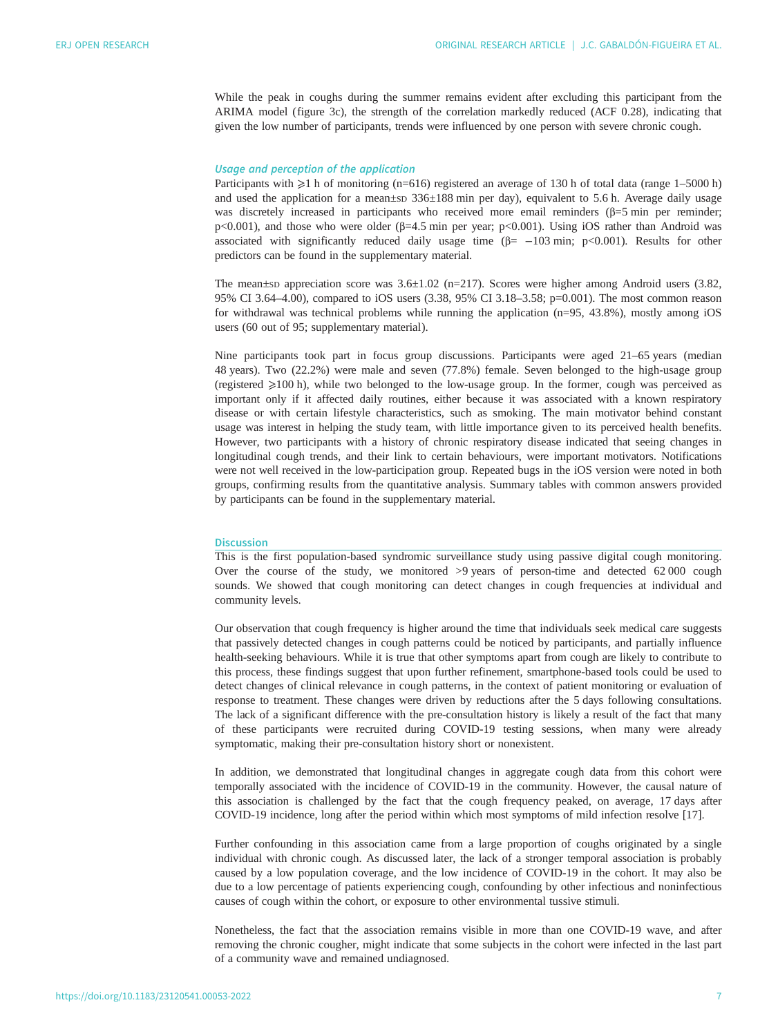While the peak in coughs during the summer remains evident after excluding this participant from the ARIMA model ([figure 3c\)](#page-5-0), the strength of the correlation markedly reduced (ACF 0.28), indicating that given the low number of participants, trends were influenced by one person with severe chronic cough.

## Usage and perception of the application

Participants with  $\geq 1$  h of monitoring (n=616) registered an average of 130 h of total data (range 1–5000 h) and used the application for a mean±sp 336±188 min per day), equivalent to 5.6 h. Average daily usage was discretely increased in participants who received more email reminders (β=5 min per reminder; p<0.001), and those who were older (β=4.5 min per year; p<0.001). Using iOS rather than Android was associated with significantly reduced daily usage time  $(\beta = -103 \text{ min}; p < 0.001)$ . Results for other predictors can be found in the [supplementary material](http://openres.ersjournals.com/lookup/doi/10.1183/23120541.00053-2022.figures-only#fig-data-supplementary-materials).

The mean $\pm$ sp appreciation score was  $3.6\pm1.02$  (n=217). Scores were higher among Android users (3.82, 95% CI 3.64–4.00), compared to iOS users (3.38, 95% CI 3.18–3.58; p=0.001). The most common reason for withdrawal was technical problems while running the application (n=95, 43.8%), mostly among iOS users (60 out of 95; [supplementary material](http://openres.ersjournals.com/lookup/doi/10.1183/23120541.00053-2022.figures-only#fig-data-supplementary-materials)).

Nine participants took part in focus group discussions. Participants were aged 21–65 years (median 48 years). Two (22.2%) were male and seven (77.8%) female. Seven belonged to the high-usage group (registered  $\geq 100$  h), while two belonged to the low-usage group. In the former, cough was perceived as important only if it affected daily routines, either because it was associated with a known respiratory disease or with certain lifestyle characteristics, such as smoking. The main motivator behind constant usage was interest in helping the study team, with little importance given to its perceived health benefits. However, two participants with a history of chronic respiratory disease indicated that seeing changes in longitudinal cough trends, and their link to certain behaviours, were important motivators. Notifications were not well received in the low-participation group. Repeated bugs in the iOS version were noted in both groups, confirming results from the quantitative analysis. Summary tables with common answers provided by participants can be found in the [supplementary material](http://openres.ersjournals.com/lookup/doi/10.1183/23120541.00053-2022.figures-only#fig-data-supplementary-materials).

## **Discussion**

This is the first population-based syndromic surveillance study using passive digital cough monitoring. Over the course of the study, we monitored >9 years of person-time and detected 62 000 cough sounds. We showed that cough monitoring can detect changes in cough frequencies at individual and community levels.

Our observation that cough frequency is higher around the time that individuals seek medical care suggests that passively detected changes in cough patterns could be noticed by participants, and partially influence health-seeking behaviours. While it is true that other symptoms apart from cough are likely to contribute to this process, these findings suggest that upon further refinement, smartphone-based tools could be used to detect changes of clinical relevance in cough patterns, in the context of patient monitoring or evaluation of response to treatment. These changes were driven by reductions after the 5 days following consultations. The lack of a significant difference with the pre-consultation history is likely a result of the fact that many of these participants were recruited during COVID-19 testing sessions, when many were already symptomatic, making their pre-consultation history short or nonexistent.

In addition, we demonstrated that longitudinal changes in aggregate cough data from this cohort were temporally associated with the incidence of COVID-19 in the community. However, the causal nature of this association is challenged by the fact that the cough frequency peaked, on average, 17 days after COVID-19 incidence, long after the period within which most symptoms of mild infection resolve [[17\]](#page-8-0).

Further confounding in this association came from a large proportion of coughs originated by a single individual with chronic cough. As discussed later, the lack of a stronger temporal association is probably caused by a low population coverage, and the low incidence of COVID-19 in the cohort. It may also be due to a low percentage of patients experiencing cough, confounding by other infectious and noninfectious causes of cough within the cohort, or exposure to other environmental tussive stimuli.

Nonetheless, the fact that the association remains visible in more than one COVID-19 wave, and after removing the chronic cougher, might indicate that some subjects in the cohort were infected in the last part of a community wave and remained undiagnosed.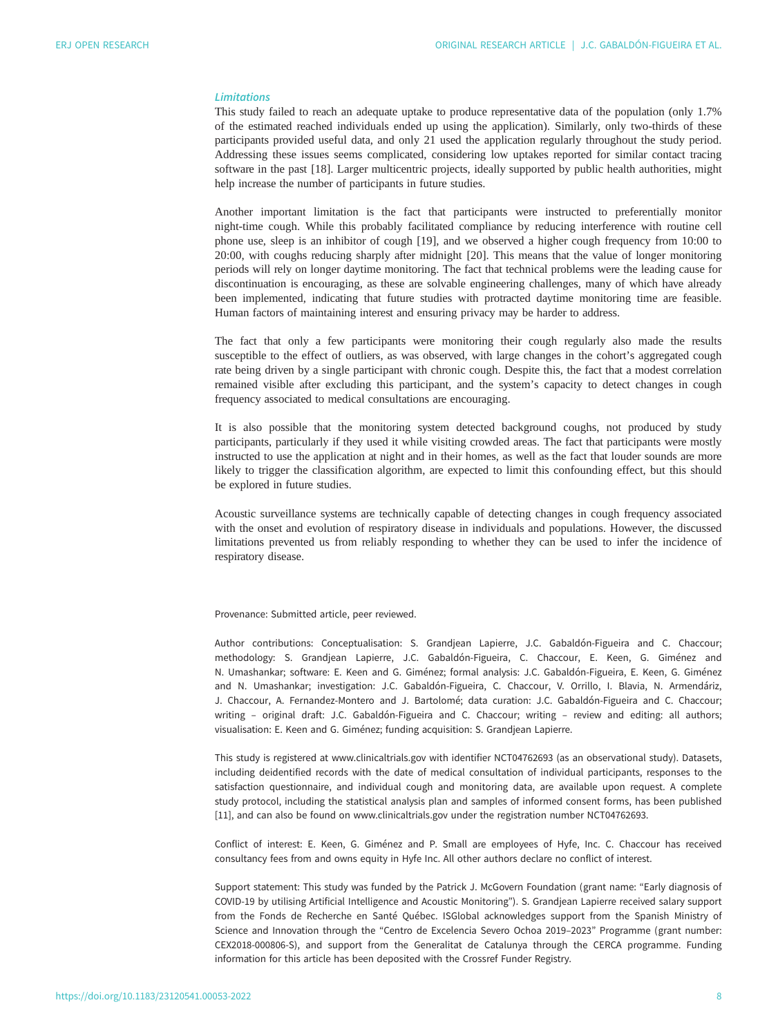# Limitations

This study failed to reach an adequate uptake to produce representative data of the population (only 1.7% of the estimated reached individuals ended up using the application). Similarly, only two-thirds of these participants provided useful data, and only 21 used the application regularly throughout the study period. Addressing these issues seems complicated, considering low uptakes reported for similar contact tracing software in the past [\[18](#page-8-0)]. Larger multicentric projects, ideally supported by public health authorities, might help increase the number of participants in future studies.

Another important limitation is the fact that participants were instructed to preferentially monitor night-time cough. While this probably facilitated compliance by reducing interference with routine cell phone use, sleep is an inhibitor of cough [\[19](#page-8-0)], and we observed a higher cough frequency from 10:00 to 20:00, with coughs reducing sharply after midnight [\[20](#page-8-0)]. This means that the value of longer monitoring periods will rely on longer daytime monitoring. The fact that technical problems were the leading cause for discontinuation is encouraging, as these are solvable engineering challenges, many of which have already been implemented, indicating that future studies with protracted daytime monitoring time are feasible. Human factors of maintaining interest and ensuring privacy may be harder to address.

The fact that only a few participants were monitoring their cough regularly also made the results susceptible to the effect of outliers, as was observed, with large changes in the cohort's aggregated cough rate being driven by a single participant with chronic cough. Despite this, the fact that a modest correlation remained visible after excluding this participant, and the system's capacity to detect changes in cough frequency associated to medical consultations are encouraging.

It is also possible that the monitoring system detected background coughs, not produced by study participants, particularly if they used it while visiting crowded areas. The fact that participants were mostly instructed to use the application at night and in their homes, as well as the fact that louder sounds are more likely to trigger the classification algorithm, are expected to limit this confounding effect, but this should be explored in future studies.

Acoustic surveillance systems are technically capable of detecting changes in cough frequency associated with the onset and evolution of respiratory disease in individuals and populations. However, the discussed limitations prevented us from reliably responding to whether they can be used to infer the incidence of respiratory disease.

Provenance: Submitted article, peer reviewed.

Author contributions: Conceptualisation: S. Grandjean Lapierre, J.C. Gabaldón-Figueira and C. Chaccour; methodology: S. Grandjean Lapierre, J.C. Gabaldón-Figueira, C. Chaccour, E. Keen, G. Giménez and N. Umashankar; software: E. Keen and G. Giménez; formal analysis: J.C. Gabaldón-Figueira, E. Keen, G. Giménez and N. Umashankar; investigation: J.C. Gabaldón-Figueira, C. Chaccour, V. Orrillo, I. Blavia, N. Armendáriz, J. Chaccour, A. Fernandez-Montero and J. Bartolomé; data curation: J.C. Gabaldón-Figueira and C. Chaccour; writing – original draft: J.C. Gabaldón-Figueira and C. Chaccour; writing – review and editing: all authors; visualisation: E. Keen and G. Giménez; funding acquisition: S. Grandjean Lapierre.

This study is registered at [www.clinicaltrials.gov](http://www.clinicaltrials.gov) with identifier NCT04762693 (as an observational study). Datasets, including deidentified records with the date of medical consultation of individual participants, responses to the satisfaction questionnaire, and individual cough and monitoring data, are available upon request. A complete study protocol, including the statistical analysis plan and samples of informed consent forms, has been published [11], and can also be found on [www.clinicaltrials.gov](http://www.clinicaltrials.gov) under the registration number NCT04762693.

Conflict of interest: E. Keen, G. Giménez and P. Small are employees of Hyfe, Inc. C. Chaccour has received consultancy fees from and owns equity in Hyfe Inc. All other authors declare no conflict of interest.

Support statement: This study was funded by the Patrick J. McGovern Foundation (grant name: "Early diagnosis of COVID-19 by utilising Artificial Intelligence and Acoustic Monitoring"). S. Grandjean Lapierre received salary support from the Fonds de Recherche en Santé Québec. ISGlobal acknowledges support from the Spanish Ministry of Science and Innovation through the "Centro de Excelencia Severo Ochoa 2019–2023" Programme (grant number: CEX2018-000806-S), and support from the Generalitat de Catalunya through the CERCA programme. Funding information for this article has been deposited with the [Crossref Funder Registry.](https://www.crossref.org/services/funder-registry/)